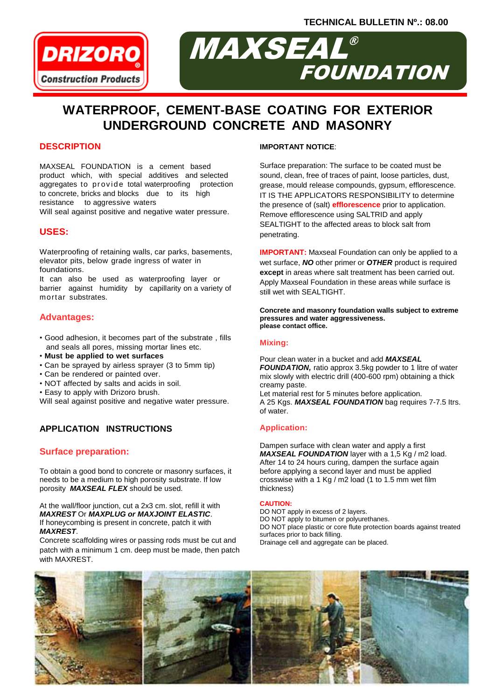**TECHNICAL BULLETIN Nº.: 08.00**



# MAXSEAL FOUNDATION ®

## **WATERPROOF, CEMENT-BASE COATING FOR EXTERIOR UNDERGROUND CONCRETE AND MASONRY**

## **DESCRIPTION**

MAXSEAL FOUNDATION is a cement based product which, with special additives and selected aggregates to provide total waterproofing protection to concrete, bricks and blocks due to its high resistance to aggressive waters

Will seal against positive and negative water pressure.

## **USES:**

Waterproofing of retaining walls, car parks, basements, elevator pits, below grade ingress of water in foundations.

It can also be used as waterproofing layer or barrier against humidity by capillarity on a variety of mortar substrates.

## **Advantages:**

- Good adhesion, it becomes part of the substrate , fills and seals all pores, missing mortar lines etc.
- **Must be applied to wet surfaces**
- Can be sprayed by airless sprayer (3 to 5mm tip)
- Can be rendered or painted over.
- NOT affected by salts and acids in soil.
- Easy to apply with Drizoro brush.
- Will seal against positive and negative water pressure.

## **APPLICATION INSTRUCTIONS**

## **Surface preparation:**

To obtain a good bond to concrete or masonry surfaces, it needs to be a medium to high porosity substrate. If low porosity *MAXSEAL FLEX* should be used.

At the wall/floor junction, cut a 2x3 cm. slot, refill it with *MAXREST* Or *MAXPLUG or MAXJOINT ELASTIC*. If honeycombing is present in concrete, patch it with *MAXREST*.

Concrete scaffolding wires or passing rods must be cut and patch with a minimum 1 cm. deep must be made, then patch with MAXREST.

### **IMPORTANT NOTICE**:

Surface preparation: The surface to be coated must be sound, clean, free of traces of paint, loose particles, dust, grease, mould release compounds, gypsum, efflorescence. IT IS THE APPLICATORS RESPONSIBILITY to determine the presence of (salt) **efflorescence** prior to application. Remove efflorescence using SALTRID and apply SEALTIGHT to the affected areas to block salt from penetrating.

**IMPORTANT:** Maxseal Foundation can only be applied to a wet surface, *NO* other primer or *OTHER* product is required **except** in areas where salt treatment has been carried out. Apply Maxseal Foundation in these areas while surface is still wet with SEALTIGHT.

**Concrete and masonry foundation walls subject to extreme pressures and water aggressiveness. please contact office.**

#### **Mixing:**

Pour clean water in a bucket and add *MAXSEAL FOUNDATION,* ratio approx 3.5kg powder to 1 litre of water mix slowly with electric drill (400-600 rpm) obtaining a thick creamy paste.

Let material rest for 5 minutes before application. A 25 Kgs. *MAXSEAL FOUNDATION* bag requires 7-7.5 Itrs. of water.

## **Application:**

Dampen surface with clean water and apply a first *MAXSEAL FOUNDATION* layer with a 1,5 Kg / m2 load. After 14 to 24 hours curing, dampen the surface again before applying a second layer and must be applied crosswise with a 1 Kg / m2 load (1 to 1.5 mm wet film thickness)

#### **CAUTION:**

DO NOT apply in excess of 2 layers. DO NOT apply to bitumen or polyurethanes. DO NOT place plastic or core flute protection boards against treated surfaces prior to back filling. Drainage cell and aggregate can be placed.